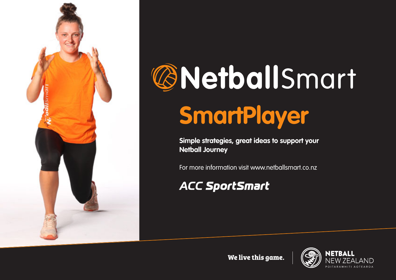

# **@NetballSmart SmartPlayer**

**Simple strategies, great ideas to support your Netball Journey**

For more information visit www.netballsmart.co.nz

### **ACC SportSmart**

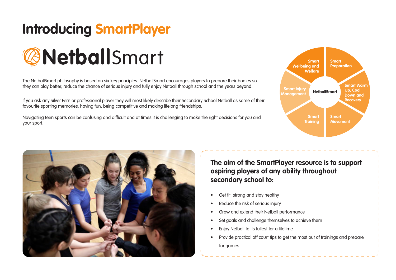### **Introducing SmartPlayer**



The NetballSmart philosophy is based on six key principles. NetballSmart encourages players to prepare their bodies so they can play better, reduce the chance of serious injury and fully enjoy Netball through school and the years beyond.

If you ask any Silver Fern or professional player they will most likely describe their Secondary School Netball as some of their favourite sporting memories, having fun, being competitive and making lifelong friendships.

Navigating teen sports can be confusing and difficult and at times it is challenging to make the right decisions for you and your sport.





**The aim of the SmartPlayer resource is to support aspiring players of any ability throughout secondary school to:**

- Get fit, strong and stay healthy
- Reduce the risk of serious injury
- Grow and extend their Netball performance
- Set goals and challenge themselves to achieve them
- Enjoy Netball to its fullest for a lifetime
- Provide practical off court tips to get the most out of trainings and prepare for games.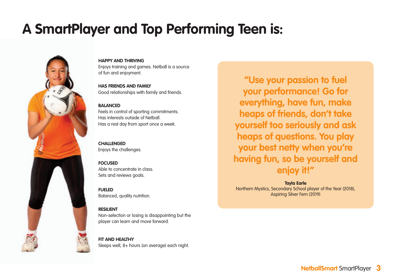### **A SmartPlayer and Top Performing Teen is:**



**HAPPY AND THRIVING** Enjoys training and games. Netball is a source of fun and enjoyment.

**HAS FRIENDS AND FAMILY** Good relationships with family and friends.

#### **BALANCED**

Feels in control of sporting commitments. Has interests outside of Netball. Has a rest day from sport once a week.

**CHALLENGED** Enjoys the challenges.

**FOCUSED** Able to concentrate in class. Sets and reviews goals.

**FUELED** Balanced, quality nutrition.

**RESILIENT**

Non-selection or losing is disappointing but the player can learn and move forward.

**FIT AND HEALTHY** Sleeps well, 8+ hours (on average) each night.

**"Use your passion to fuel your performance! Go for everything, have fun, make heaps of friends, don't take yourself too seriously and ask heaps of questions. You play your best netty when you're having fun, so be yourself and enjoy it!"** 

**Tayla Earle** Northern Mystics, Secondary School player of the Year (2018), Aspiring Silver Fern (2019)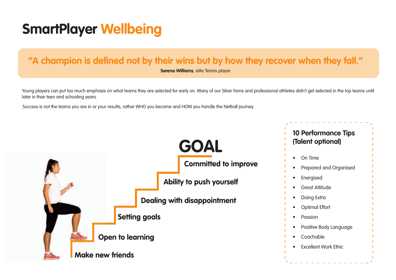### **"A champion is defined not by their wins but by how they recover when they fall."**

**Serena Williams**, elite Tennis player

Young players can put too much emphasis on what teams they are selected for early on. Many of our Silver Ferns and professional athletes didn't get selected in the top teams until later in their teen and schooling years.

Success is not the teams you are in or your results, rather WHO you become and HOW you handle the Netball journey.

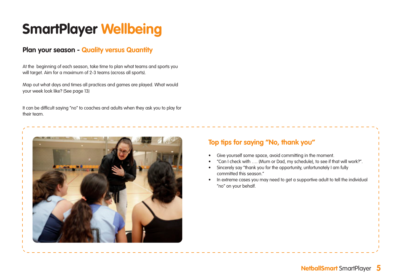### **Plan your season - Quality versus Quantity**

At the beginning of each season, take time to plan what teams and sports you will target. Aim for a maximum of 2-3 teams (across all sports).

Map out what days and times all practices and games are played. What would your week look like? (See page 13)

It can be difficult saying "no" to coaches and adults when they ask you to play for their team.



### **Top tips for saying "No, thank you"**

- Give yourself some space, avoid committing in the moment.
- "Can I check with …. (Mum or Dad, my schedule), to see if that will work?".
- Sincerely say "thank you for the opportunity, unfortunately I am fully committed this season."
- In extreme cases you may need to get a supportive adult to tell the individual "no" on your behalf.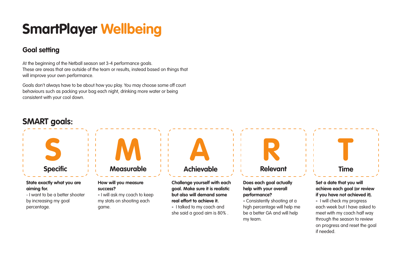### **Goal setting**

At the beginning of the Netball season set 3-4 performance goals. These are areas that are outside of the team or results, instead based on things that will improve your own performance.

Goals don't always have to be about how you play. You may choose some off court behaviours such as packing your bag each night, drinking more water or being consistent with your cool down.

### **SMART goals:**



#### **State exactly what you are aiming for.**

- I want to be a better shooter by increasing my goal percentage.



#### **How will you measure success?**

**-** I will ask my coach to keep my stats on shooting each game.

**A R**

### **Achievable**

**Challenge yourself with each goal. Make sure it is realistic but also will demand some real effort to achieve it.**

**-** I talked to my coach and she said a good aim is 80% .

# **Relevant**

#### **Does each goal actually help with your overall performance?**

**-** Consistently shooting at a high percentage will help me be a better GA and will help my team.

#### **Set a date that you will achieve each goal (or review if you have not achieved it).**

**T**

**Time**

**-** I will check my progress each week but I have asked to meet with my coach half way through the season to review on progress and reset the goal if needed.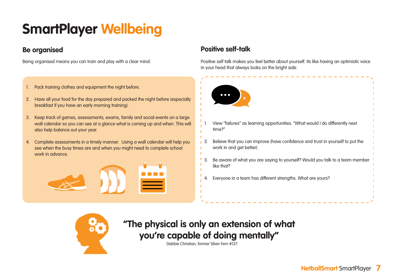### **Be organised**

Being organised means you can train and play with a clear mind.

- 1. Pack training clothes and equipment the night before.
- 2. Have all your food for the day prepared and packed the night before (especially breakfast if you have an early morning training).
- 3. Keep track of games, assessments, exams, family and social events on a large wall calendar so you can see at a glance what is coming up and when. This will also help balance out your year.
- 4. Complete assessments in a timely manner. Using a wall calendar will help you see when the busy times are and when you might need to complete school work in advance.



### **Positive self-talk**

Positive self talk makes you feel better about yourself. Its like having an optimistic voice in your head that always looks on the bright side.





### **"The physical is only an extension of what you're capable of doing mentally"**

Debbie Christian, former Silver Fern #137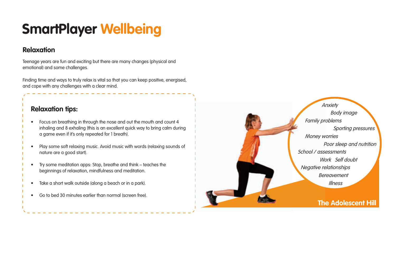### **Relaxation**

Teenage years are fun and exciting but there are many changes (physical and emotional) and some challenges.

Finding time and ways to truly relax is vital so that you can keep positive, energised, and cope with any challenges with a clear mind.

### **Relaxation tips:**

- Focus on breathing in through the nose and out the mouth and count 4 inhaling and 8 exhaling (this is an excellent quick way to bring calm during a game even if it's only repeated for 1 breath).
- Play some soft relaxing music. Avoid music with words (relaxing sounds of nature are a good start).
- Try some meditation apps: Stop, breathe and think teaches the beginnings of relaxation, mindfulness and meditation.
- Take a short walk outside (along a beach or in a park).
- Go to bed 30 minutes earlier than normal (screen free).

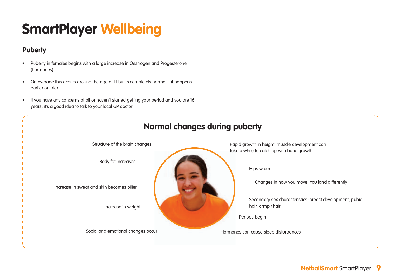### **Puberty**

- Puberty in females begins with a large increase in Oestrogen and Progesterone (hormones).
- On average this occurs around the age of 11 but is completely normal if it happens earlier or later.
- If you have any concerns at all or haven't started getting your period and you are 16 years, it's a good idea to talk to your local GP doctor.

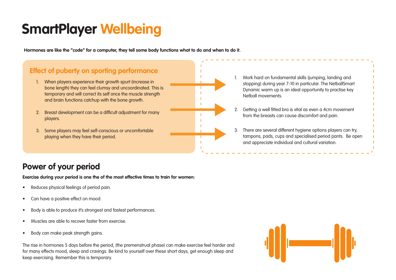**Hormones are like the "code" for a computer, they tell some body functions what to do and when to do it.**

### **Effect of puberty on sporting performance**

- 1. When players experience their growth spurt (increase in bone length) they can feel clumsy and uncoordinated. This is temporary and will correct its self once the muscle strength and brain functions catchup with the bone growth.
- 2. Breast development can be a difficult adjustment for many players.
- 3. Some players may feel self-conscious or uncomfortable playing when they have their period.



- 1. Work hard on fundamental skills (jumping, landing and stopping) during year 7-10 in particular. The NetballSmart Dynamic warm up is an ideal opportunity to practise key Netball movements.
- 2. Getting a well fitted bra is vital as even a 4cm movement from the breasts can cause discomfort and pain.
- 3. There are several different hygiene options players can try, tampons, pads, cups and specialised period pants. Be open and appreciate individual and cultural variation.

### **Power of your period**

**Exercise during your period is one the of the most effective times to train for women:**

- Reduces physical feelings of period pain.
- Can have a positive effect on mood.
- Body is able to produce it's strongest and fastest performances.
- Muscles are able to recover faster from exercise.
- Body can make peak strength gains.

The rise in hormones 5 days before the period, (the premenstrual phase) can make exercise feel harder and for many effects mood, sleep and cravings. Be kind to yourself over these short days, get enough sleep and keep exercising. Remember this is temporary.

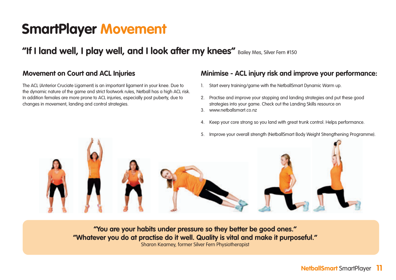### **SmartPlayer Movement**

**"If I land well, I play well, and I look after my knees"** Bailey Mes, Silver Fern #150

### **Movement on Court and ACL Injuries**

The ACL (Anterior Cruciate Ligament) is an important ligament in your knee. Due to the dynamic nature of the game and strict footwork rules, Netball has a high ACL risk. In addition females are more prone to ACL injuries, especially post puberty, due to changes in movement, landing and control strategies.

### **Minimise - ACL injury risk and improve your performance:**

- 1. Start every training/game with the NetballSmart Dynamic Warm up.
- 2. Practise and improve your stopping and landing strategies and put these good strategies into your game. Check out the Landing Skills resource on
- 3. www.netballsmart.co.nz
- 4. Keep your core strong so you land with great trunk control. Helps performance.
- 5. Improve your overall strength (NetballSmart Body Weight Strengthening Programme).



**"You are your habits under pressure so they better be good ones." "Whatever you do at practise do it well. Quality is vital and make it purposeful."**  Sharon Kearney, former Silver Fern Physiotherapist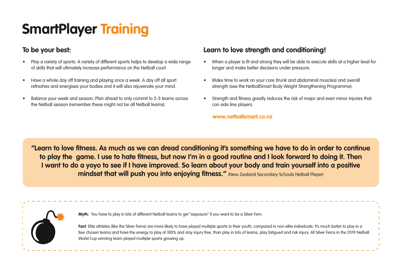# **SmartPlayer Training**

### **To be your best:**

- Play a variety of sports: A variety of different sports helps to develop a wide range of skills that will ultimately increase performance on the Netball court.
- Have a whole day off training and playing once a week: A day off all sport refreshes and energises your bodies and it will also rejuvenate your mind.
- Balance your week and season: Plan ahead to only commit to 2-3 teams across the Netball season (remember these might not be all Netball teams).

### **Learn to love strength and conditioning!**

- When a player is fit and strong they will be able to execute skills at a higher level for longer and make better decisions under pressure.
- Make time to work on your core (trunk and abdominal muscles) and overall strength (see the NetballSmart Body Weight Strengthening Programme).
- Strenath and fitness areatly reduces the risk of major and even minor injuries that can side line players.

#### **www.netballsmart.co.nz**

**"Learn to love fitness. As much as we can dread conditioning it's something we have to do in order to continue to play the game. I use to hate fitness, but now I'm in a good routine and I look forward to doing it. Then I want to do a yoyo to see if I have improved. So learn about your body and train yourself into a positive mindset that will push you into enjoying fitness."** (New Zealand Secondary Schools Netball Player)



**Myth:** You have to play in lots of different Netball teams to get "exposure" if you want to be a Silver Fern.

Fact: Elite athletes (like the Silver Ferns) are more likely to have played multiple sports in their youth, compared to non-elite individuals. It's much better to play in a few chosen teams and have the energy to play at 100% and stay injury free, than play in lots of teams, play fatigued and risk injury. All Silver Ferns in the 2019 Netball World Cup winning team played multiple sports growing up.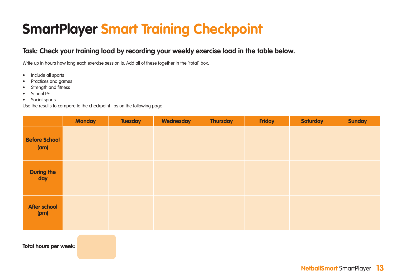# **SmartPlayer Smart Training Checkpoint**

### **Task: Check your training load by recording your weekly exercise load in the table below.**

Write up in hours how long each exercise session is. Add all of these together in the "total" box.

- Include all sports
- Practices and games
- Strength and fitness
- School PE
- Social sports

Use the results to compare to the checkpoint tips on the following page

|                              | <b>Monday</b> | <b>Tuesday</b> | Wednesday | <b>Thursday</b> | <b>Friday</b> | <b>Saturday</b> | <b>Sunday</b> |
|------------------------------|---------------|----------------|-----------|-----------------|---------------|-----------------|---------------|
| <b>Before School</b><br>(am) |               |                |           |                 |               |                 |               |
| <b>During the</b><br>day     |               |                |           |                 |               |                 |               |
| After school<br>(pm)         |               |                |           |                 |               |                 |               |

**Total hours per week:**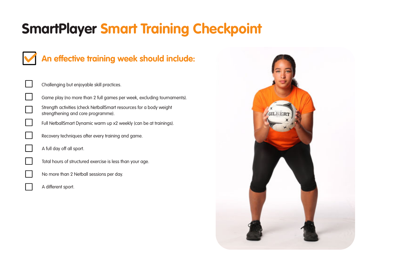# **SmartPlayer Smart Training Checkpoint**

### **An effective training week should include:**

| Challenging but enjoyable skill practices.                                                                |
|-----------------------------------------------------------------------------------------------------------|
| Game play (no more than 2 full games per week, excluding tournaments).                                    |
| Strength activities (check NetballSmart resources for a body weight<br>strengthening and core programme). |
| Full NetballSmart Dynamic warm up x2 weekly (can be at trainings).                                        |
| Recovery techniques after every training and game.                                                        |
| A full day off all sport.                                                                                 |
| Total hours of structured exercise is less than your age.                                                 |
| No more than 2 Netball sessions per day.                                                                  |
| A different sport.                                                                                        |
|                                                                                                           |

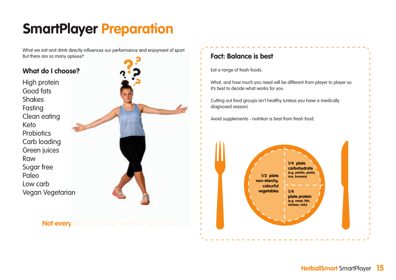What we eat and drink directly influences our performance and enjoyment of sport. But there are so many options?

### **What do I choose?**

High protein Good fats **Shakes** Fasting Clean eating Keto **Probiotics** Carb loading Green juices Raw Sugar free Paleo Low carb Vegan Vegetarian

**Not everything on social media is accurate!**

### **Fact: Balance is best** Eat a range of fresh foods. What, and how much you need will be different from player to player so it's best to decide what works for you. Cutting out food groups isn't healthy (unless you have a medically diagnosed reason). Avoid supplements - nutrition is best from fresh food. **1/4 plate carbohydrate (e.g. potato, pasta, rice, kumara) 1/4 plate protein (e.g. meat, fish, chicken, tofu) 1/2 plate non-starchy, colourful vegetables**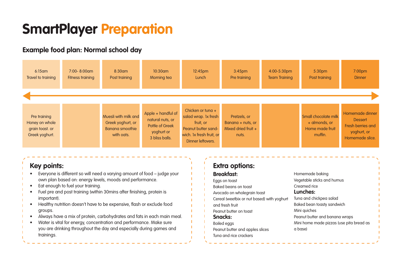### **Example food plan: Normal school day**

| $6:15$ am                                                           | $7:00 - 8:00$ am | $8:30$ am                                                                         | $10:30$ am                                                                                | $12:45$ pm                                                                                                                       | $3:45$ pm                                                         | 4:00-5:30pm          | 5:30 <sub>pm</sub>                                                  | 7:00 <sub>pm</sub>                                                                       |
|---------------------------------------------------------------------|------------------|-----------------------------------------------------------------------------------|-------------------------------------------------------------------------------------------|----------------------------------------------------------------------------------------------------------------------------------|-------------------------------------------------------------------|----------------------|---------------------------------------------------------------------|------------------------------------------------------------------------------------------|
| Travel to training                                                  | Fitness training | Post training                                                                     | Morning tea                                                                               | Lunch                                                                                                                            | Pre training                                                      | <b>Team Training</b> | Post training                                                       | <b>Dinner</b>                                                                            |
| Pre training<br>Honey on whole<br>grain toast. or<br>Greek yoghurt. |                  | Muesli with milk and<br>Greek yoghurt, or<br><b>Banana smoothie</b><br>with oats. | Apple + handful of<br>natural nuts, or<br>Pottle of Greek<br>yoghurt or<br>3 bliss balls. | Chicken or tung $+$<br>salad wrap. 1x fresh<br>fruit, or<br>Peanut butter sand-<br>wich. 1x fresh fruit, or<br>Dinner leftovers. | Pretzels, or<br>Banana + nuts, or<br>Mixed dried fruit +<br>nuts. |                      | Small chocolate milk<br>+ almonds, or<br>Home made fruit<br>muffin. | Homemade dinner<br><b>Dessert</b><br>Fresh berries and<br>yoghurt, or<br>Homemade slice. |

### **Key points:**

- Everyone is different so will need a varying amount of food judge your own plan based on: energy levels, moods and performance.
- Eat enough to fuel your training.
- Fuel pre and post training (within 30mins after finishing, protein is important).
- Healthy nutrition doesn't have to be expensive, flash or exclude food groups.
- Always have a mix of protein, carbohydrates and fats in each main meal.
- Water is vital for energy, concentration and performance. Make sure you are drinking throughout the day and especially during games and trainings.

### **Extra options:**

#### **Breakfast:** Eggs on toast

Baked beans on toast Avocado on wholegrain toast Cereal (weetbix or nut based) with yoghurt and fresh fruit Peanut butter on toast **Snacks:** Boiled eggs

Peanut butter and apples slices Tuna and rice crackers

Homemade baking Vegetable sticks and humus Creamed rice **Lunches:** Tuna and chickpea salad Baked bean toasty sandwich Mini quiches Peanut butter and banana wraps Mini home made pizzas (use pita bread as a base)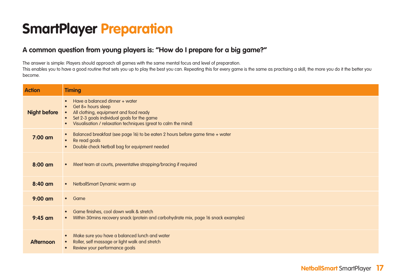### **A common question from young players is: "How do I prepare for a big game?"**

The answer is simple: Players should approach all games with the same mental focus and level of preparation.

This enables you to have a good routine that sets you up to play the best you can. Repeating this for every game is the same as practising a skill, the more you do it the better you become.

| <b>Action</b>       | <b>Timing</b>                                                                                                                                                                                                                             |
|---------------------|-------------------------------------------------------------------------------------------------------------------------------------------------------------------------------------------------------------------------------------------|
| <b>Night before</b> | Have a balanced dinner + water<br>$\bullet$<br>Get 8+ hours sleep<br>All clothing, equipment and food ready<br>Set 2-3 goals individual goals for the game<br>Visualisation / relaxation techniques (great to calm the mind)<br>$\bullet$ |
| 7:00 am             | Balanced breakfast (see page 16) to be eaten 2 hours before game time + water<br>$\bullet$<br>Re read goals<br>$\bullet$<br>Double check Netball bag for equipment needed<br>$\bullet$                                                    |
| $8:00$ am           | • Meet team at courts, preventative strapping/bracing if required                                                                                                                                                                         |
| 8:40 am             | NetballSmart Dynamic warm up<br>$\bullet$                                                                                                                                                                                                 |
| $9:00$ am           | • Game                                                                                                                                                                                                                                    |
| $9:45$ am           | Game finishes, cool down walk & stretch<br>$\bullet$<br>Within 30mins recovery snack (protein and carbohydrate mix, page 16 snack examples)<br>$\bullet$                                                                                  |
| <b>Afternoon</b>    | Make sure you have a balanced lunch and water<br>$\bullet$<br>Roller, self massage or light walk and stretch<br>Review your performance goals                                                                                             |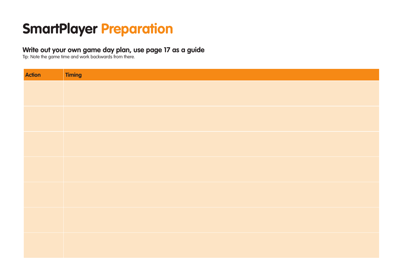### **Write out your own game day plan, use page 17 as a guide**

Tip: Note the game time and work backwards from there.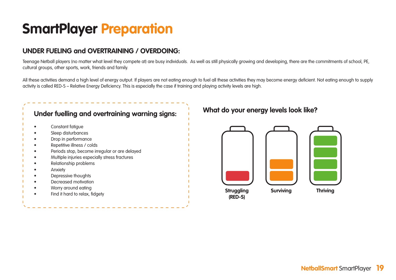### **UNDER FUELING and OVERTRAINING / OVERDOING:**

Teenage Netball players (no matter what level they compete at) are busy individuals. As well as still physically growing and developing, there are the commitments of school, PE, cultural groups, other sports, work, friends and family.

All these activities demand a high level of energy output. If players are not eating enough to fuel all these activities they may become energy deficient. Not eating enough to supply activity is called RED-S – Relative Energy Deficiency. This is especially the case if training and playing activity levels are high.

| Constant fatigue                              |
|-----------------------------------------------|
| Sleep disturbances                            |
| Drop in performance                           |
| Repetitive illness / colds                    |
| Periods stop, become irregular or are delayed |
| Multiple injuries especially stress fractures |
| Relationship problems                         |
| Anxiety                                       |
| Depressive thoughts                           |
| Decreased motivation                          |
| Worry around eating                           |
| Find it hard to relax, fidgety                |

### **What do your energy levels look like?**

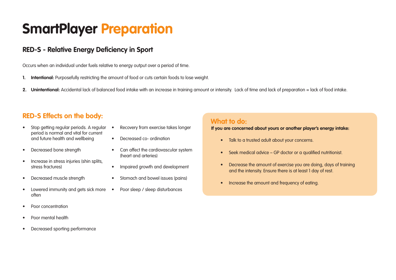### **RED-S - Relative Energy Deficiency in Sport**

Occurs when an individual under fuels relative to energy output over a period of time.

- **1. Intentional:** Purposefully restricting the amount of food or cuts certain foods to lose weight.
- 2. Unintentional: Accidental lack of balanced food intake with an increase in training amount or intensity. Lack of time and lack of preparation = lack of food intake.

### **RED-S Effects on the body: What to do: What to do:**

- Stop getting regular periods. A regular period is normal and vital for current and future health and wellbeing
- Decreased bone strength
- Increase in stress injuries (shin splits, stress fractures)
- Decreased muscle strength
- Lowered immunity and gets sick more often
- Poor concentration
- Poor mental health
- Decreased sporting performance
- Recovery from exercise takes longer
	- Decreased co- ordination
- Can affect the cardiovascular system (heart and arteries)
- Impaired growth and development
- Stomach and bowel issues (pains)
- Poor sleep / sleep disturbances

**If you are concerned about yours or another player's energy intake:**

- Talk to a trusted adult about your concerns.
- Seek medical advice GP doctor or a qualified nutritionist.
- Decrease the amount of exercise you are doing, days of training and the intensity. Ensure there is at least 1 day of rest.
- Increase the amount and frequency of eating.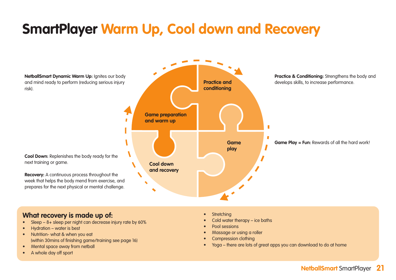### **SmartPlayer Warm Up, Cool down and Recovery**



### **What recovery is made up of:**

- Sleep 8+ sleep per night can decrease injury rate by 60%
- Hydration water is best
- Nutrition- what & when you eat (within 30mins of finishing game/training see page 16)
- Mental space away from netball
- A whole day off sport
- **Stretching**
- Cold water therapy ice baths
- Pool sessions
- Massage or using a roller
- Compression clothing
- Yoga there are lots of great apps you can download to do at home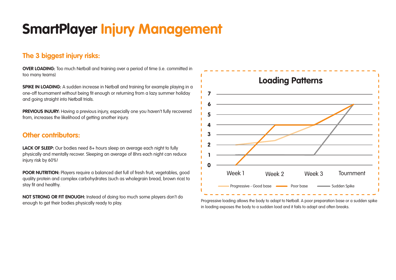### **SmartPlayer Injury Management**

### **The 3 biggest injury risks:**

**OVER LOADING:** Too much Netball and training over a period of time (i.e. committed in too many teams)

**SPIKE IN LOADING:** A sudden increase in Netball and training for example playing in a one-off tournament without being fit enough or returning from a lazy summer holiday and going straight into Netball trials.

**PREVIOUS INJURY:** Having a previous injury, especially one you haven't fully recovered from, increases the likelihood of getting another injury.

### **Other contributors:**

**LACK OF SLEEP:** Our bodies need 8+ hours sleep on average each night to fully physically and mentally recover. Sleeping an average of 8hrs each night can reduce injury risk by 60%!

**POOR NUTRITION:** Players require a balanced diet full of fresh fruit, vegetables, good quality protein and complex carbohydrates (such as wholegrain bread, brown rice) to stay fit and healthy.

**NOT STRONG OR FIT ENOUGH:** Instead of doing too much some players don't do enough to get their bodies physically ready to play.



Progressive loading allows the body to adapt to Netball. A poor preparation base or a sudden spike in loading exposes the body to a sudden load and it fails to adapt and often breaks.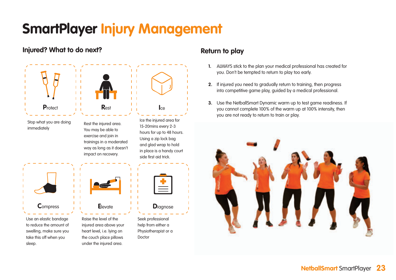### **SmartPlayer Injury Management**

### **Injured? What to do next?**



### **Return to play**

- **1.** ALWAYS stick to the plan your medical professional has created for you. Don't be tempted to return to play too early.
- **2.** If injured you need to gradually return to training, then progress into competitive game play, guided by a medical professional.
- **3.** Use the NetballSmart Dynamic warm up to test game readiness. If you cannot complete 100% of the warm up at 100% intensity, then you are not ready to return to train or play.

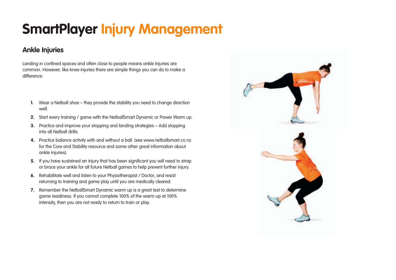# **SmartPlayer Injury Management**

### **Ankle Injuries**

Landing in confined spaces and often close to people means ankle Injuries are common. However, like knee injuries there are simple things you can do to make a difference:

- **1.** Wear a Netball shoe they provide the stability you need to change direction well.
- **2.** Start every training / game with the NetballSmart Dynamic or Power Warm up.
- **3.** Practice and improve your stopping and landing strategies Add stopping into all Netball drills.
- **4.** Practice balance activity with and without a ball. (see www.netballsmart.co.nz for the Core and Stability resource and some other great information about ankle injuries).
- **5.** If you have sustained an injury that has been significant you will need to strap or brace your ankle for all future Netball games to help prevent further injury.
- **6.** Rehabilitate well and listen to your Physiotherapist / Doctor, and resist returning to training and game play until you are medically cleared.
- **7.** Remember the NetballSmart Dynamic warm up is a great test to determine game readiness. If you cannot complete 100% of the warm up at 100% intensity, then you are not ready to return to train or play.

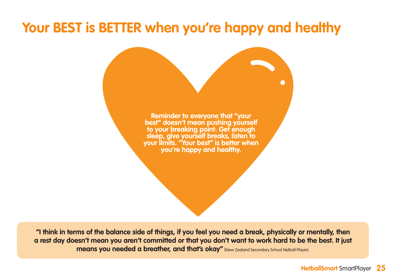### **Your BEST is BETTER when you're happy and healthy**

**Reminder to everyone that "your best" doesn't mean pushing yourself to your breaking point. Get enough sleep, give yourself breaks, listen to your limits. "Your best" is better when you're happy and healthy.**

**"I think in terms of the balance side of things, if you feel you need a break, physically or mentally, then a rest day doesn't mean you aren't committed or that you don't want to work hard to be the best. It just means you needed a breather, and that's okay"** (New Zealand Secondary School Netball Player).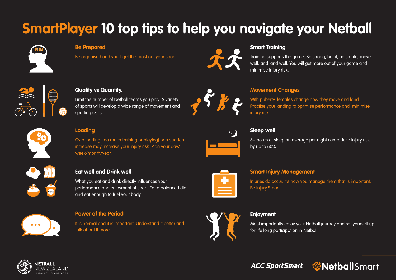# **SmartPlayer 10 top tips to help you navigate your Netball**



#### **Be Prepared**

Be organised and you'll get the most out your sport.



#### **Smart Training**

Training supports the game. Be strong, be fit, be stable, move well, and land well. You will get more out of your game and minimise injury risk.

With puberty, females change how they move and land.



#### **Quality vs Quantity.**

Limit the number of Netball teams you play. A variety of sports will develop a wide range of movement and sporting skills.

#### **Loading**

Over loading (too much training or playing) or a sudden increase may increase your injury risk. Plan your day/ week/month/year.

What you eat and drink directly influences your



#### Practise your landing to optimise performance and minimise iniurv risk.

**Movement Changes**



### **Sleep well**

8+ hours of sleep on average per night can reduce injury risk by up to 60%.

#### **Smart Injury Management**

Injuries do occur. It's how you manage them that is important. Be injury Smart.



#### **Power of the Period**

**Eat well and Drink well**

and eat enough to fuel your body.

It is normal and it is important. Understand it better and talk about it more.

performance and enjoyment of sport. Eat a balanced diet



#### **Enjoyment**

Most importantly enjoy your Netball journey and set yourself up for life long participation in Netball.



**@Netball**Smart **ACC SportSmart** 



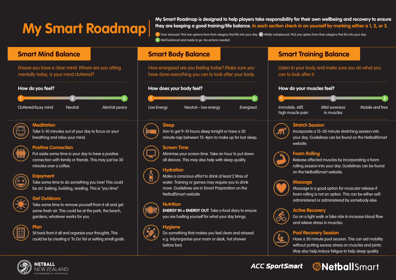# **My Smart Roadmap**

My Smart Roadmap is designed to help players take responsibility for their own wellbeing and recovery to ensure they are keeping a good training/life balance. In each section check in on yourself by marking either a 1, 2, or 3.

1 Over stressed. Pick two options from that category that fits into your day. 2 Mildly unbalanced. Pick one option from that category that fits into your day. **3** Well balanced and ready to go. No actions needed. **3** Well balanced and ready to go. No actions needed.

Ensure you have a clear mind. Where are you sitting mentally to have a clear mind. Where  $\alpha$ Ensure you have a clear mind. Where are you sitting mentally today, is your mind cluttered? Ensure you have a clear mind. Where are you sitting  $m$ any today, is your minid cluttered.



**Meditation**



Take 5–10 minutes out of your day to focus on your **Meditation Meditation**  $\mathsf{b}$ reathing and relax your mind.



### **Positive Connection**

Put aside some time in your day to have a positive connection with family or friends. This may just be  $30^\circ$ connection with family or friends. This may just be 30  $\pm$  50  $\pm$  50  $\pm$  50  $\pm$  50  $\pm$  50  $\pm$  50  $\pm$  50  $\pm$  50  $\pm$  50  $\pm$  50  $\pm$  50  $\pm$  50  $\pm$  50  $\pm$  50  $\pm$  50  $\pm$  50  $\pm$  50  $\pm$  50  $\pm$ 

### **Enjoyment**



Take some time to do something you love! This could **Enjoyment Enjoyment** be art, baking, building, reading. This is "you time".

#### **Get Outdoors**  $\mathbf{b}$  art, building, reading, reading, reading, reading, reading, reading,  $\mathbf{b}$





#### **Plan**

Sit back from it all and organise your thoughts. This **Plan Plan** could be by creating a 'To Do' list or setting small goals.

How energised are you feeling today? Make sure you How energised are you feeling today? Make sure you<br>' have done everything you can to look after your body. How energised are you feeling today? Make sure you have done everything you can to look after your body.









### high muscle pain energy Energiese Immobile, stiff, stiff, stiff, stiff, stiff, stiff, stiff, stiff, stiff, sti<br>
Independent on the state pain

### **Sleep**



Aim to get 9–10 hours sleep tonight or have a 30 **Sleep Sleep** minute nap between 12–4pm to make up for lost sleep.

#### **Screen Time** minute nap between 12–4pm to make up for lost sleep.

Minimise your screen time. Take an hour to put down **Screen Time Screen Time** all devices. This may also help with sleep quality.

#### **Hydration** all devices. This may also help with sleep quality.



Make a conscious effort to drink at least 2 litres of **Hydration Hydration** water. Training or games may require you to drink more. Guidelines are in Smart Preparation on the MetballSmart website.<br>More. Guidelines are in Smart Preparation on the Smart Preparation on the Smart Preparation on the Smart Prepa

### **Nutrition**



**ENERGY IN = ENERGY OUT**. Take a food diary to ensure you are fuelling yourself for what your day brings.

### **Hygiene**



**Do something that makes you feel clean and relaxed.** e.g. tidy/organise your room or desk, hot shower before bed. The state your room or desk, hot shower  $\epsilon$ .g. tid $\epsilon$ 

### **Smart Mind Balance Smart Body Balance Smart Training Balance**

Listen to your body and make sure you do what you con to your body Listen to your body and make sure you do what you Listen to your body and make sure you do what you can to look after it. can to look after it.



Immobile stiff

Mild soreness in muscles Mild soreness issues <sub>in</sub>

Mobile and free Mobile and free

### **Stretch Session**



Incorporate a 15–30 minute stretching session into **Stretch Session Stretch Session** your day. Guidelines can be found on the NetballSmart website. Website. your day. Guidelines can be found on the Netballsman be found on the NetballSman be found on the NetballSman b



### Foam Rolling

Release affected muscles by incorporating a foam rolling session into your day. Guidelines can be found on the NetballSmart website.<br>The found session into your day. Guidelines can be found to your day. Guidelines can be found to your day. Gui



#### **Massage**

Massage is a good option for muscular release if **Massage Massage** foam rolling is not an option. This can be either selfadministered or administered by somebody else.



Go on a light walk or bike ride to increase blood flow and relieve stress in muscles.<br>Go on a light walk or bike ride to increase blood flow flow flow flow flow flow flow

### **Pool Recovery Session**



Have a 30 minute pool session. This can aid mobility **Pool Recovery Session Pool Recovery Session** without putting excess stress on muscles and joints.  $\overline{\phantom{a}}$ May also help induce fatigue to help sleep quality. May also help induce fatigue to help sleep quality.